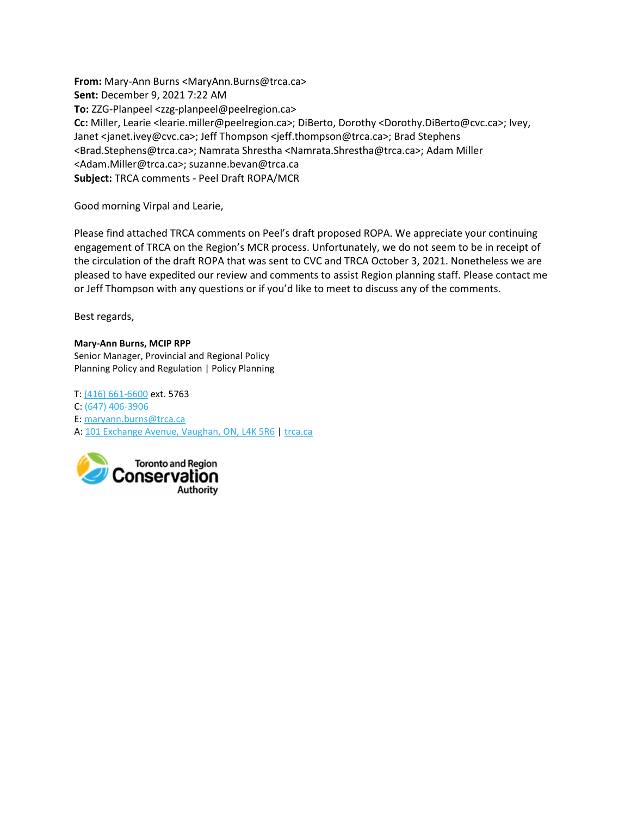From: Mary-Ann Burns <MaryAnn.Burns@trca.ca> Sent: December 9, 2021 7:22 AM To: ZZG-Planpeel <zzg-planpeel@peelregion.ca> Cc: Miller, Learie <learie.miller@peelregion.ca>; DiBerto, Dorothy <Dorothy.DiBerto@cvc.ca>; Ivey, Janet <janet.ivey@cvc.ca>; Jeff Thompson <jeff.thompson@trca.ca>; Brad Stephens <Brad.Stephens@trca.ca>; Namrata Shrestha <Namrata.Shrestha@trca.ca>; Adam Miller <Adam.Miller@trca.ca>; suzanne.bevan@trca.ca Subject: TRCA comments - Peel Draft ROPA/MCR

Good morning Virpal and Learie,

Please find attached TRCA comments on Peel's draft proposed ROPA. We appreciate your continuing engagement of TRCA on the Region's MCR process. Unfortunately, we do not seem to be in receipt of the circulation of the draft ROPA that was sent to CVC and TRCA October 3, 2021. Nonetheless we are pleased to have expedited our review and comments to assist Region planning staff. Please contact me or Jeff Thompson with any questions or if you'd like to meet to discuss any of the comments.

Best regards,

#### Mary-Ann Burns, MCIP RPP

Senior Manager, Provincial and Regional Policy Planning Policy and Regulation | Policy Planning

T: (416) 661-6600 ext. 5763 C: (647) 406-3906 E: maryann.burns@trca.ca A: 101 Exchange Avenue, Vaughan, ON, L4K 5R6 | trca.ca

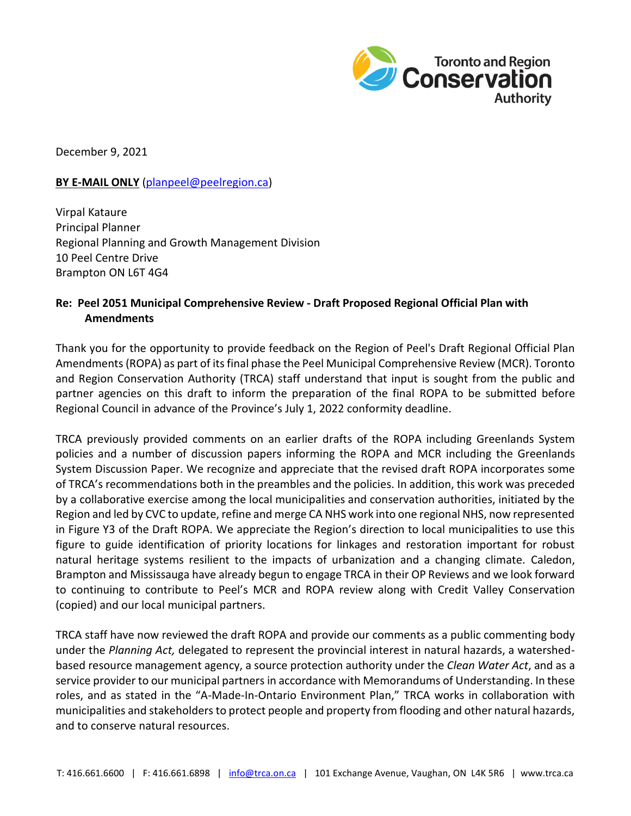

December 9, 2021

#### **BY E-MAIL ONLY** [\(planpeel@peelregion.ca\)](mailto:planpeel@peelregion.ca)

Virpal Kataure Principal Planner Regional Planning and Growth Management Division 10 Peel Centre Drive Brampton ON L6T 4G4

# **Re: Peel 2051 Municipal Comprehensive Review - Draft Proposed Regional Official Plan with Amendments**

Thank you for the opportunity to provide feedback on the Region of Peel's Draft Regional Official Plan Amendments (ROPA) as part of its final phase the Peel Municipal Comprehensive Review (MCR). Toronto and Region Conservation Authority (TRCA) staff understand that input is sought from the public and partner agencies on this draft to inform the preparation of the final ROPA to be submitted before Regional Council in advance of the Province's July 1, 2022 conformity deadline.

TRCA previously provided comments on an earlier drafts of the ROPA including Greenlands System policies and a number of discussion papers informing the ROPA and MCR including the Greenlands System Discussion Paper. We recognize and appreciate that the revised draft ROPA incorporates some of TRCA's recommendations both in the preambles and the policies. In addition, this work was preceded by a collaborative exercise among the local municipalities and conservation authorities, initiated by the Region and led by CVC to update, refine and merge CA NHS work into one regional NHS, now represented in Figure Y3 of the Draft ROPA. We appreciate the Region's direction to local municipalities to use this figure to guide identification of priority locations for linkages and restoration important for robust natural heritage systems resilient to the impacts of urbanization and a changing climate. Caledon, Brampton and Mississauga have already begun to engage TRCA in their OP Reviews and we look forward to continuing to contribute to Peel's MCR and ROPA review along with Credit Valley Conservation (copied) and our local municipal partners.

TRCA staff have now reviewed the draft ROPA and provide our comments as a public commenting body under the *Planning Act,* delegated to represent the provincial interest in natural hazards, a watershedbased resource management agency, a source protection authority under the *Clean Water Act*, and as a service provider to our municipal partners in accordance with Memorandums of Understanding. In these roles, and as stated in the "A-Made-In-Ontario Environment Plan," TRCA works in collaboration with municipalities and stakeholders to protect people and property from flooding and other natural hazards, and to conserve natural resources.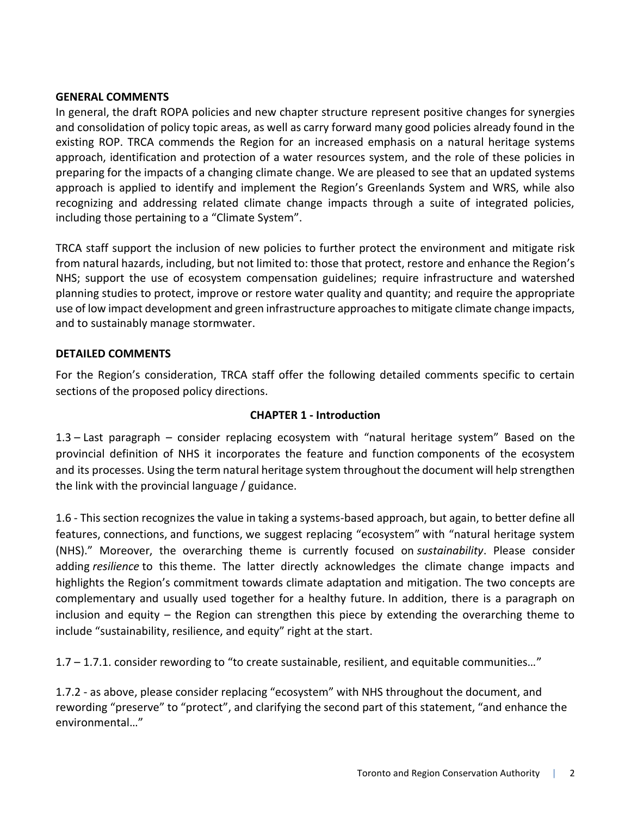#### **GENERAL COMMENTS**

In general, the draft ROPA policies and new chapter structure represent positive changes for synergies and consolidation of policy topic areas, as well as carry forward many good policies already found in the existing ROP. TRCA commends the Region for an increased emphasis on a natural heritage systems approach, identification and protection of a water resources system, and the role of these policies in preparing for the impacts of a changing climate change. We are pleased to see that an updated systems approach is applied to identify and implement the Region's Greenlands System and WRS, while also recognizing and addressing related climate change impacts through a suite of integrated policies, including those pertaining to a "Climate System".

TRCA staff support the inclusion of new policies to further protect the environment and mitigate risk from natural hazards, including, but not limited to: those that protect, restore and enhance the Region's NHS; support the use of ecosystem compensation guidelines; require infrastructure and watershed planning studies to protect, improve or restore water quality and quantity; and require the appropriate use of low impact development and green infrastructure approaches to mitigate climate change impacts, and to sustainably manage stormwater.

#### **DETAILED COMMENTS**

For the Region's consideration, TRCA staff offer the following detailed comments specific to certain sections of the proposed policy directions.

#### **CHAPTER 1 - Introduction**

1.3 – Last paragraph – consider replacing ecosystem with "natural heritage system" Based on the provincial definition of NHS it incorporates the feature and function components of the ecosystem and its processes. Using the term natural heritage system throughout the document will help strengthen the link with the provincial language / guidance.

1.6 - This section recognizes the value in taking a systems-based approach, but again, to better define all features, connections, and functions, we suggest replacing "ecosystem" with "natural heritage system (NHS)." Moreover, the overarching theme is currently focused on *sustainability*. Please consider adding *resilience* to this theme. The latter directly acknowledges the climate change impacts and highlights the Region's commitment towards climate adaptation and mitigation. The two concepts are complementary and usually used together for a healthy future. In addition, there is a paragraph on inclusion and equity – the Region can strengthen this piece by extending the overarching theme to include "sustainability, resilience, and equity" right at the start.

1.7 – 1.7.1. consider rewording to "to create sustainable, resilient, and equitable communities…"

1.7.2 - as above, please consider replacing "ecosystem" with NHS throughout the document, and rewording "preserve" to "protect", and clarifying the second part of this statement, "and enhance the environmental…"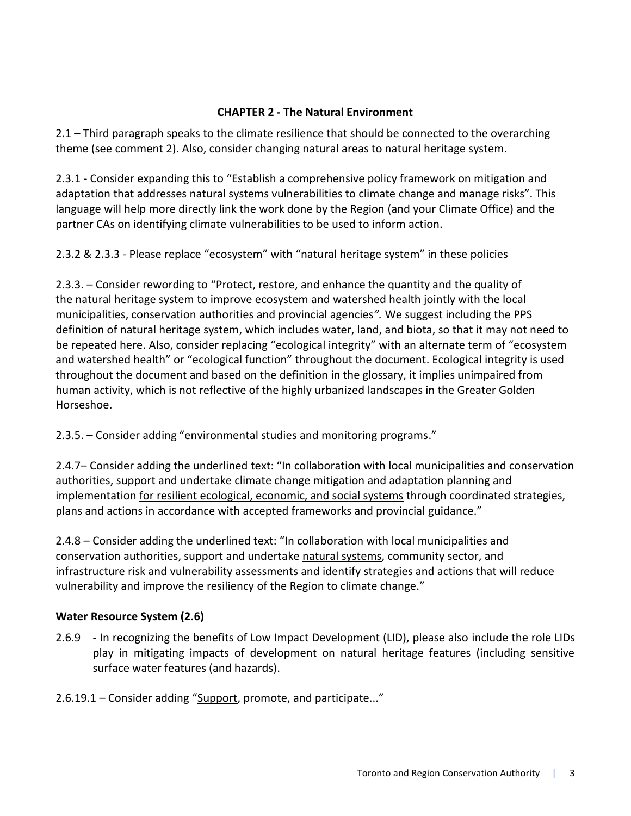### **CHAPTER 2 - The Natural Environment**

2.1 – Third paragraph speaks to the climate resilience that should be connected to the overarching theme (see comment 2). Also, consider changing natural areas to natural heritage system.

2.3.1 - Consider expanding this to "Establish a comprehensive policy framework on mitigation and adaptation that addresses natural systems vulnerabilities to climate change and manage risks". This language will help more directly link the work done by the Region (and your Climate Office) and the partner CAs on identifying climate vulnerabilities to be used to inform action.

2.3.2 & 2.3.3 - Please replace "ecosystem" with "natural heritage system" in these policies

2.3.3. – Consider rewording to "Protect, restore, and enhance the quantity and the quality of the natural heritage system to improve ecosystem and watershed health jointly with the local municipalities, conservation authorities and provincial agencies*".* We suggest including the PPS definition of natural heritage system, which includes water, land, and biota, so that it may not need to be repeated here. Also, consider replacing "ecological integrity" with an alternate term of "ecosystem and watershed health" or "ecological function" throughout the document. Ecological integrity is used throughout the document and based on the definition in the glossary, it implies unimpaired from human activity, which is not reflective of the highly urbanized landscapes in the Greater Golden Horseshoe.

2.3.5. – Consider adding "environmental studies and monitoring programs."

2.4.7– Consider adding the underlined text: "In collaboration with local municipalities and conservation authorities, support and undertake climate change mitigation and adaptation planning and implementation for resilient ecological, economic, and social systems through coordinated strategies, plans and actions in accordance with accepted frameworks and provincial guidance."

2.4.8 – Consider adding the underlined text: "In collaboration with local municipalities and conservation authorities, support and undertake natural systems, community sector, and infrastructure risk and vulnerability assessments and identify strategies and actions that will reduce vulnerability and improve the resiliency of the Region to climate change."

# **Water Resource System (2.6)**

2.6.9 - In recognizing the benefits of Low Impact Development (LID), please also include the role LIDs play in mitigating impacts of development on natural heritage features (including sensitive surface water features (and hazards).

2.6.19.1 – Consider adding "Support, promote, and participate..."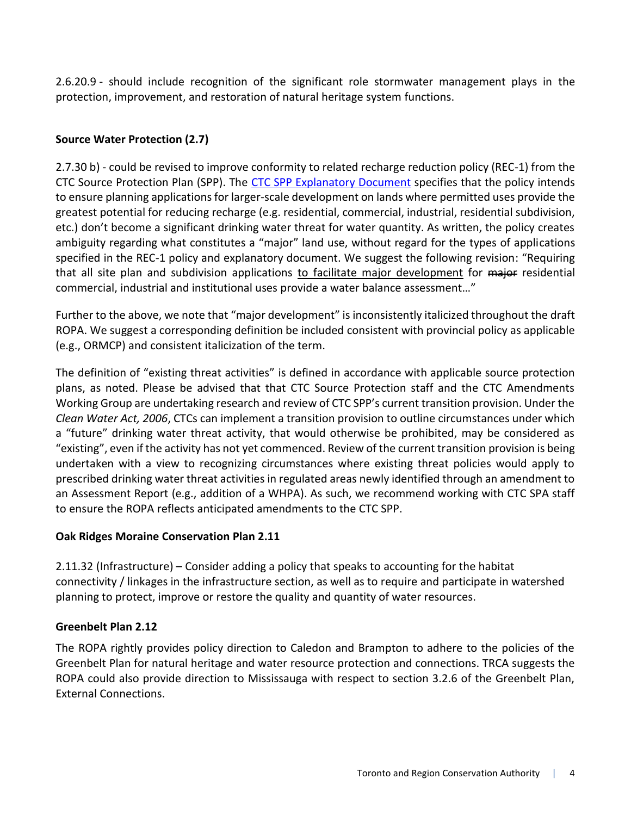2.6.20.9 - should include recognition of the significant role stormwater management plays in the protection, improvement, and restoration of natural heritage system functions.

# **Source Water Protection (2.7)**

2.7.30 b) - could be revised to improve conformity to related recharge reduction policy (REC-1) from the CTC Source Protection Plan (SPP). The [CTC SPP Explanatory Document](https://ctcswp.ca/app/uploads/2021/05/RPT_20191205_Amended_CTCED_FNL.pdf) specifies that the policy intends to ensure planning applications for larger-scale development on lands where permitted uses provide the greatest potential for reducing recharge (e.g. residential, commercial, industrial, residential subdivision, etc.) don't become a significant drinking water threat for water quantity. As written, the policy creates ambiguity regarding what constitutes a "major" land use, without regard for the types of applications specified in the REC-1 policy and explanatory document. We suggest the following revision: "Requiring that all site plan and subdivision applications to facilitate major development for major residential commercial, industrial and institutional uses provide a water balance assessment…"

Further to the above, we note that "major development" is inconsistently italicized throughout the draft ROPA. We suggest a corresponding definition be included consistent with provincial policy as applicable (e.g., ORMCP) and consistent italicization of the term.

The definition of "existing threat activities" is defined in accordance with applicable source protection plans, as noted. Please be advised that that CTC Source Protection staff and the CTC Amendments Working Group are undertaking research and review of CTC SPP's current transition provision. Under the *Clean Water Act, 2006*, CTCs can implement a transition provision to outline circumstances under which a "future" drinking water threat activity, that would otherwise be prohibited, may be considered as "existing", even if the activity has not yet commenced. Review of the current transition provision is being undertaken with a view to recognizing circumstances where existing threat policies would apply to prescribed drinking water threat activities in regulated areas newly identified through an amendment to an Assessment Report (e.g., addition of a WHPA). As such, we recommend working with CTC SPA staff to ensure the ROPA reflects anticipated amendments to the CTC SPP.

# **Oak Ridges Moraine Conservation Plan 2.11**

2.11.32 (Infrastructure) – Consider adding a policy that speaks to accounting for the habitat connectivity / linkages in the infrastructure section, as well as to require and participate in watershed planning to protect, improve or restore the quality and quantity of water resources.

# **Greenbelt Plan 2.12**

The ROPA rightly provides policy direction to Caledon and Brampton to adhere to the policies of the Greenbelt Plan for natural heritage and water resource protection and connections. TRCA suggests the ROPA could also provide direction to Mississauga with respect to section 3.2.6 of the Greenbelt Plan, External Connections.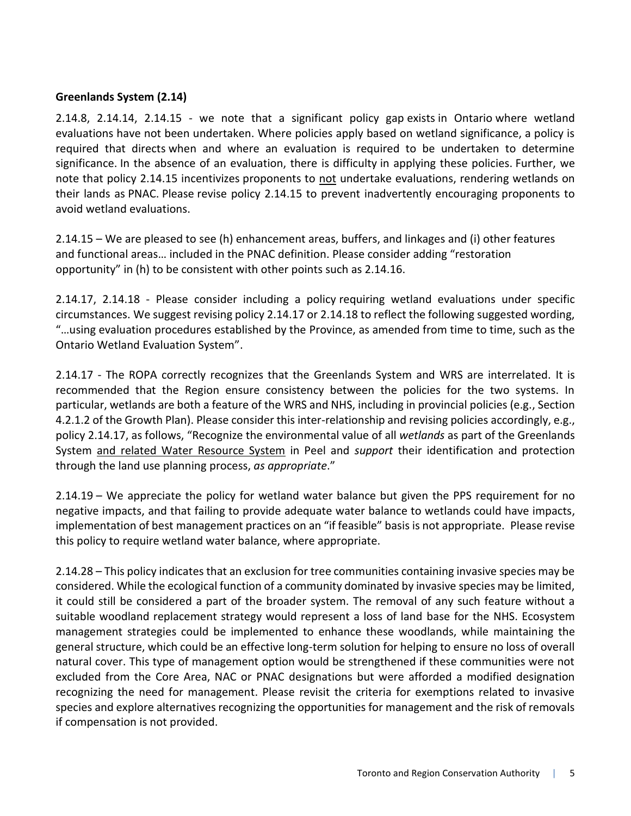## **Greenlands System (2.14)**

2.14.8, 2.14.14, 2.14.15 - we note that a significant policy gap exists in Ontario where wetland evaluations have not been undertaken. Where policies apply based on wetland significance, a policy is required that directs when and where an evaluation is required to be undertaken to determine significance. In the absence of an evaluation, there is difficulty in applying these policies. Further, we note that policy 2.14.15 incentivizes proponents to not undertake evaluations, rendering wetlands on their lands as PNAC. Please revise policy 2.14.15 to prevent inadvertently encouraging proponents to avoid wetland evaluations.

2.14.15 – We are pleased to see (h) enhancement areas, buffers, and linkages and (i) other features and functional areas… included in the PNAC definition. Please consider adding "restoration opportunity" in (h) to be consistent with other points such as 2.14.16.

2.14.17, 2.14.18 - Please consider including a policy requiring wetland evaluations under specific circumstances. We suggest revising policy 2.14.17 or 2.14.18 to reflect the following suggested wording, "…using evaluation procedures established by the Province, as amended from time to time, such as the Ontario Wetland Evaluation System".

2.14.17 - The ROPA correctly recognizes that the Greenlands System and WRS are interrelated. It is recommended that the Region ensure consistency between the policies for the two systems. In particular, wetlands are both a feature of the WRS and NHS, including in provincial policies (e.g., Section 4.2.1.2 of the Growth Plan). Please consider this inter-relationship and revising policies accordingly, e.g., policy 2.14.17, as follows, "Recognize the environmental value of all *wetlands* as part of the Greenlands System and related Water Resource System in Peel and *support* their identification and protection through the land use planning process, *as appropriate*."

2.14.19 – We appreciate the policy for wetland water balance but given the PPS requirement for no negative impacts, and that failing to provide adequate water balance to wetlands could have impacts, implementation of best management practices on an "if feasible" basis is not appropriate. Please revise this policy to require wetland water balance, where appropriate.

2.14.28 – This policy indicates that an exclusion for tree communities containing invasive species may be considered. While the ecological function of a community dominated by invasive species may be limited, it could still be considered a part of the broader system. The removal of any such feature without a suitable woodland replacement strategy would represent a loss of land base for the NHS. Ecosystem management strategies could be implemented to enhance these woodlands, while maintaining the general structure, which could be an effective long-term solution for helping to ensure no loss of overall natural cover. This type of management option would be strengthened if these communities were not excluded from the Core Area, NAC or PNAC designations but were afforded a modified designation recognizing the need for management. Please revisit the criteria for exemptions related to invasive species and explore alternatives recognizing the opportunities for management and the risk of removals if compensation is not provided.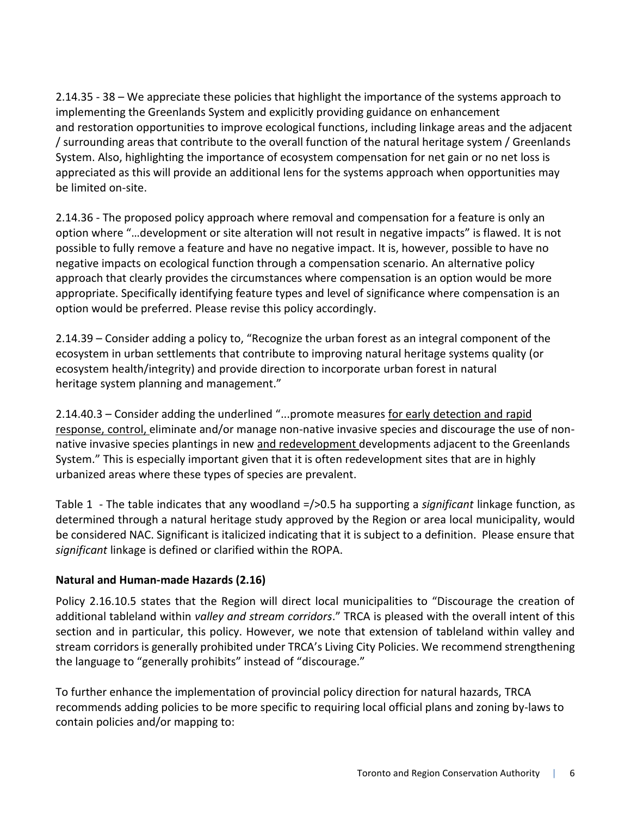2.14.35 - 38 – We appreciate these policies that highlight the importance of the systems approach to implementing the Greenlands System and explicitly providing guidance on enhancement and restoration opportunities to improve ecological functions, including linkage areas and the adjacent / surrounding areas that contribute to the overall function of the natural heritage system / Greenlands System. Also, highlighting the importance of ecosystem compensation for net gain or no net loss is appreciated as this will provide an additional lens for the systems approach when opportunities may be limited on-site.

2.14.36 - The proposed policy approach where removal and compensation for a feature is only an option where "…development or site alteration will not result in negative impacts" is flawed. It is not possible to fully remove a feature and have no negative impact. It is, however, possible to have no negative impacts on ecological function through a compensation scenario. An alternative policy approach that clearly provides the circumstances where compensation is an option would be more appropriate. Specifically identifying feature types and level of significance where compensation is an option would be preferred. Please revise this policy accordingly.

2.14.39 – Consider adding a policy to, "Recognize the urban forest as an integral component of the ecosystem in urban settlements that contribute to improving natural heritage systems quality (or ecosystem health/integrity) and provide direction to incorporate urban forest in natural heritage system planning and management."

2.14.40.3 – Consider adding the underlined "...promote measures for early detection and rapid response, control, eliminate and/or manage non-native invasive species and discourage the use of nonnative invasive species plantings in new and redevelopment developments adjacent to the Greenlands System." This is especially important given that it is often redevelopment sites that are in highly urbanized areas where these types of species are prevalent.

Table 1 - The table indicates that any woodland =/>0.5 ha supporting a *significant* linkage function, as determined through a natural heritage study approved by the Region or area local municipality, would be considered NAC. Significant is italicized indicating that it is subject to a definition. Please ensure that *significant* linkage is defined or clarified within the ROPA.

# **Natural and Human-made Hazards (2.16)**

Policy 2.16.10.5 states that the Region will direct local municipalities to "Discourage the creation of additional tableland within *valley and stream corridors*." TRCA is pleased with the overall intent of this section and in particular, this policy. However, we note that extension of tableland within valley and stream corridors is generally prohibited under TRCA's Living City Policies. We recommend strengthening the language to "generally prohibits" instead of "discourage."

To further enhance the implementation of provincial policy direction for natural hazards, TRCA recommends adding policies to be more specific to requiring local official plans and zoning by-laws to contain policies and/or mapping to: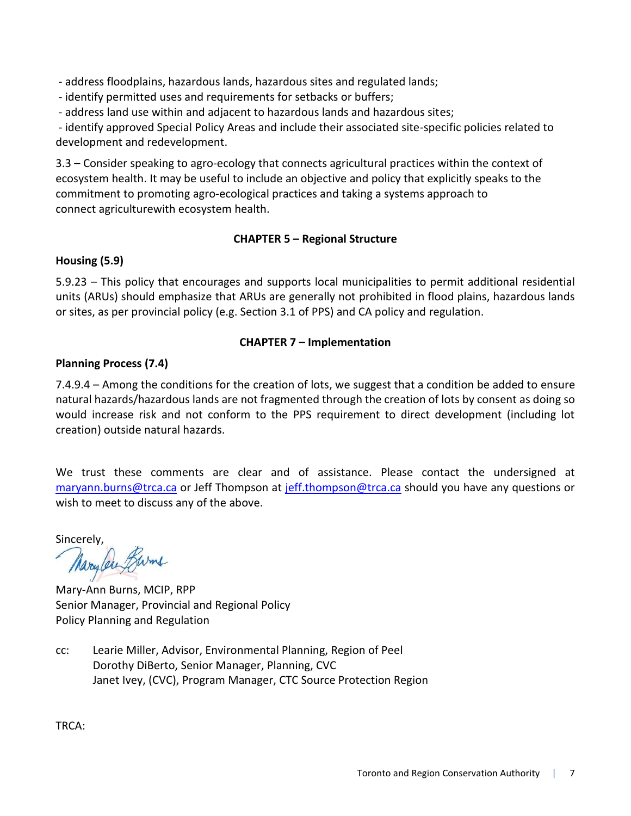- address floodplains, hazardous lands, hazardous sites and regulated lands;

- identify permitted uses and requirements for setbacks or buffers;

- address land use within and adjacent to hazardous lands and hazardous sites;

- identify approved Special Policy Areas and include their associated site-specific policies related to development and redevelopment.

3.3 – Consider speaking to agro-ecology that connects agricultural practices within the context of ecosystem health. It may be useful to include an objective and policy that explicitly speaks to the commitment to promoting agro-ecological practices and taking a systems approach to connect agriculturewith ecosystem health.

## **CHAPTER 5 – Regional Structure**

## **Housing (5.9)**

5.9.23 – This policy that encourages and supports local municipalities to permit additional residential units (ARUs) should emphasize that ARUs are generally not prohibited in flood plains, hazardous lands or sites, as per provincial policy (e.g. Section 3.1 of PPS) and CA policy and regulation.

## **CHAPTER 7 – Implementation**

## **Planning Process (7.4)**

7.4.9.4 – Among the conditions for the creation of lots, we suggest that a condition be added to ensure natural hazards/hazardous lands are not fragmented through the creation of lots by consent as doing so would increase risk and not conform to the PPS requirement to direct development (including lot creation) outside natural hazards.

We trust these comments are clear and of assistance. Please contact the undersigned at [maryann.burns@trca.ca](mailto:maryann.burns@trca.ca) or Jeff Thompson at [jeff.thompson@trca.ca](mailto:jeff.thompson@trca.ca) should you have any questions or wish to meet to discuss any of the above.

Sincerely,<br>Marylen Burns

Mary-Ann Burns, MCIP, RPP Senior Manager, Provincial and Regional Policy Policy Planning and Regulation

cc: Learie Miller, Advisor, Environmental Planning, Region of Peel Dorothy DiBerto, Senior Manager, Planning, CVC Janet Ivey, (CVC), Program Manager, CTC Source Protection Region

TRCA: